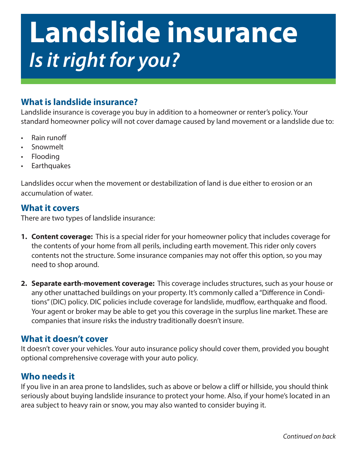# **Landslide insurance** *Is it right for you?*

### **What is landslide insurance?**

Landslide insurance is coverage you buy in addition to a homeowner or renter's policy. Your standard homeowner policy will not cover damage caused by land movement or a landslide due to:

- Rain runoff
- **Snowmelt**
- Flooding
- **Earthquakes**

Landslides occur when the movement or destabilization of land is due either to erosion or an accumulation of water.

#### **What it covers**

There are two types of landslide insurance:

- **1. Content coverage:** This is a special rider for your homeowner policy that includes coverage for the contents of your home from all perils, including earth movement. This rider only covers contents not the structure. Some insurance companies may not offer this option, so you may need to shop around.
- **2. Separate earth-movement coverage:** This coverage includes structures, such as your house or any other unattached buildings on your property. It's commonly called a "Difference in Conditions" (DIC) policy. DIC policies include coverage for landslide, mudflow, earthquake and flood. Your agent or broker may be able to get you this coverage in the surplus line market. These are companies that insure risks the industry traditionally doesn't insure.

#### **What it doesn't cover**

It doesn't cover your vehicles. Your auto insurance policy should cover them, provided you bought optional comprehensive coverage with your auto policy.

#### **Who needs it**

If you live in an area prone to landslides, such as above or below a cliff or hillside, you should think seriously about buying landslide insurance to protect your home. Also, if your home's located in an area subject to heavy rain or snow, you may also wanted to consider buying it.